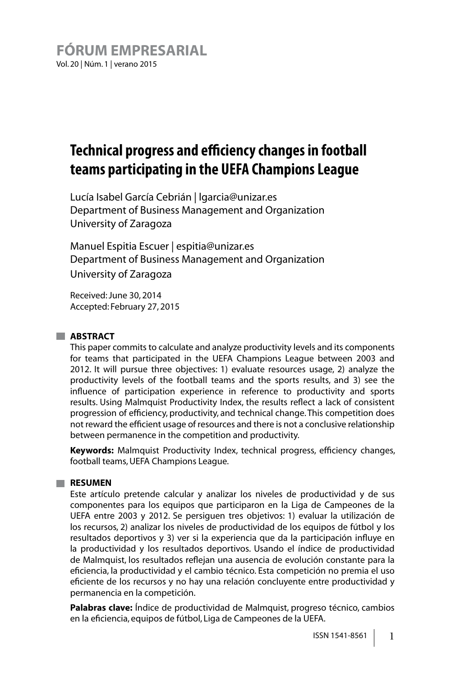# **Technical progress and efciency changes in football teams participating in the UEFA Champions League**

Lucía Isabel García Cebrián | lgarcia@unizar.es Department of Business Management and Organization University of Zaragoza

Manuel Espitia Escuer | espitia@unizar.es Department of Business Management and Organization University of Zaragoza

Received: June 30, 2014 Accepted: February 27, 2015

#### **ABSTRACT**

This paper commits to calculate and analyze productivity levels and its components for teams that participated in the UEFA Champions League between 2003 and 2012. It will pursue three objectives: 1) evaluate resources usage, 2) analyze the productivity levels of the football teams and the sports results, and 3) see the influence of participation experience in reference to productivity and sports results. Using Malmquist Productivity Index, the results reflect a lack of consistent progression of efficiency, productivity, and technical change. This competition does not reward the efficient usage of resources and there is not a conclusive relationship between permanence in the competition and productivity.

**Keywords:** Malmquist Productivity Index, technical progress, efficiency changes, football teams, UEFA Champions League.

#### **RESUMEN**

Este artículo pretende calcular y analizar los niveles de productividad y de sus componentes para los equipos que participaron en la Liga de Campeones de la UEFA entre 2003 y 2012. Se persiguen tres objetivos: 1) evaluar la utilización de los recursos, 2) analizar los niveles de productividad de los equipos de fútbol y los resultados deportivos y 3) ver si la experiencia que da la participación influye en la productividad y los resultados deportivos. Usando el índice de productividad de Malmquist, los resultados reflejan una ausencia de evolución constante para la eficiencia, la productividad y el cambio técnico. Esta competición no premia el uso eficiente de los recursos y no hay una relación concluyente entre productividad y permanencia en la competición.

**Palabras clave:** Índice de productividad de Malmquist, progreso técnico, cambios en la eficiencia, equipos de fútbol, Liga de Campeones de la UEFA.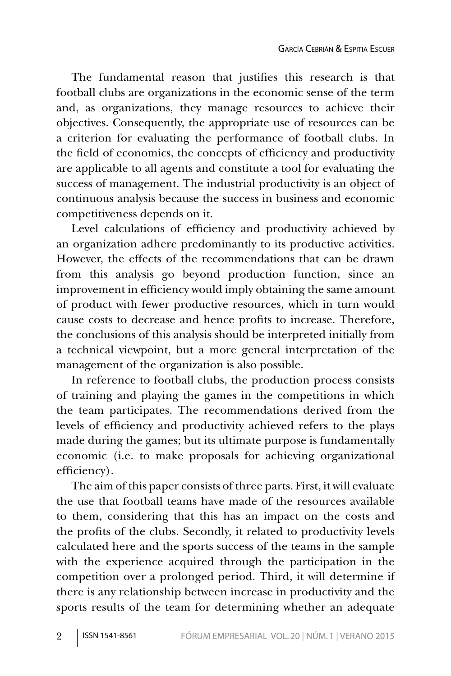The fundamental reason that justifies this research is that football clubs are organizations in the economic sense of the term and, as organizations, they manage resources to achieve their objectives. Consequently, the appropriate use of resources can be a criterion for evaluating the performance of football clubs. In the field of economics, the concepts of efficiency and productivity are applicable to all agents and constitute a tool for evaluating the success of management. The industrial productivity is an object of continuous analysis because the success in business and economic competitiveness depends on it.

Level calculations of efficiency and productivity achieved by an organization adhere predominantly to its productive activities. However, the effects of the recommendations that can be drawn from this analysis go beyond production function, since an improvement in efficiency would imply obtaining the same amount of product with fewer productive resources, which in turn would cause costs to decrease and hence profits to increase. Therefore, the conclusions of this analysis should be interpreted initially from a technical viewpoint, but a more general interpretation of the management of the organization is also possible.

In reference to football clubs, the production process consists of training and playing the games in the competitions in which the team participates. The recommendations derived from the levels of efficiency and productivity achieved refers to the plays made during the games; but its ultimate purpose is fundamentally economic (i.e. to make proposals for achieving organizational efficiency).

The aim of this paper consists of three parts. First, it will evaluate the use that football teams have made of the resources available to them, considering that this has an impact on the costs and the profits of the clubs. Secondly, it related to productivity levels calculated here and the sports success of the teams in the sample with the experience acquired through the participation in the competition over a prolonged period. Third, it will determine if there is any relationship between increase in productivity and the sports results of the team for determining whether an adequate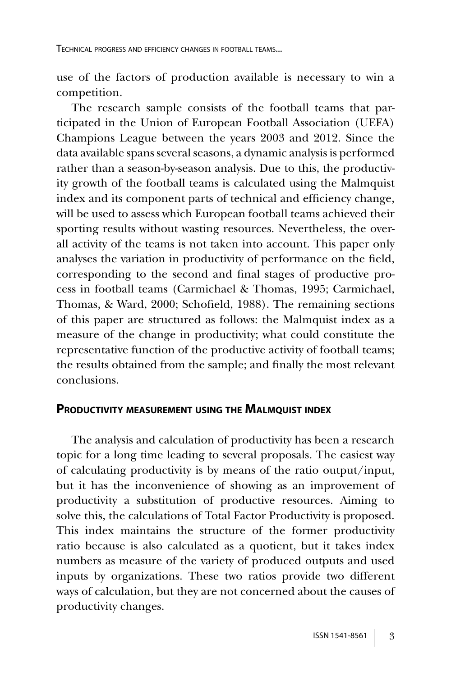use of the factors of production available is necessary to win a competition.

The research sample consists of the football teams that participated in the Union of European Football Association (UEFA) Champions League between the years 2003 and 2012. Since the data available spans several seasons, a dynamic analysis is performed rather than a season-by-season analysis. Due to this, the productivity growth of the football teams is calculated using the Malmquist index and its component parts of technical and efficiency change, will be used to assess which European football teams achieved their sporting results without wasting resources. Nevertheless, the overall activity of the teams is not taken into account. This paper only analyses the variation in productivity of performance on the field, corresponding to the second and final stages of productive process in football teams (Carmichael & Thomas, 1995; Carmichael, Thomas, & Ward, 2000; Schofield, 1988). The remaining sections of this paper are structured as follows: the Malmquist index as a measure of the change in productivity; what could constitute the representative function of the productive activity of football teams; the results obtained from the sample; and finally the most relevant conclusions.

#### **PRODUCTIVITY MEASUREMENT USING THE MALMQUIST INDEX**

The analysis and calculation of productivity has been a research topic for a long time leading to several proposals. The easiest way of calculating productivity is by means of the ratio output/input, but it has the inconvenience of showing as an improvement of productivity a substitution of productive resources. Aiming to solve this, the calculations of Total Factor Productivity is proposed. This index maintains the structure of the former productivity ratio because is also calculated as a quotient, but it takes index numbers as measure of the variety of produced outputs and used inputs by organizations. These two ratios provide two different ways of calculation, but they are not concerned about the causes of productivity changes.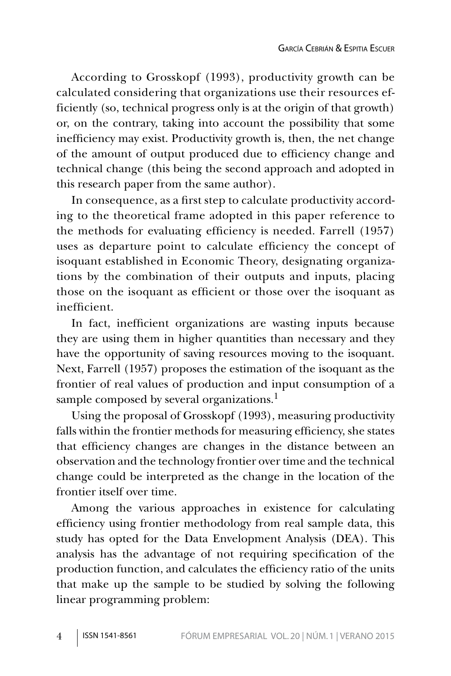According to Grosskopf (1993), productivity growth can be calculated considering that organizations use their resources efficiently (so, technical progress only is at the origin of that growth) or, on the contrary, taking into account the possibility that some inefficiency may exist. Productivity growth is, then, the net change of the amount of output produced due to efficiency change and technical change (this being the second approach and adopted in this research paper from the same author).

In consequence, as a first step to calculate productivity according to the theoretical frame adopted in this paper reference to the methods for evaluating efficiency is needed. Farrell (1957) uses as departure point to calculate efficiency the concept of isoquant established in Economic Theory, designating organizations by the combination of their outputs and inputs, placing those on the isoquant as efficient or those over the isoquant as inefficient.

In fact, inefficient organizations are wasting inputs because they are using them in higher quantities than necessary and they have the opportunity of saving resources moving to the isoquant. Next, Farrell (1957) proposes the estimation of the isoquant as the frontier of real values of production and input consumption of a sample composed by several organizations.<sup>1</sup>

Using the proposal of Grosskopf (1993), measuring productivity falls within the frontier methods for measuring efficiency, she states that efficiency changes are changes in the distance between an observation and the technology frontier over time and the technical change could be interpreted as the change in the location of the frontier itself over time.

Among the various approaches in existence for calculating efficiency using frontier methodology from real sample data, this study has opted for the Data Envelopment Analysis (DEA). This analysis has the advantage of not requiring specification of the production function, and calculates the efficiency ratio of the units that make up the sample to be studied by solving the following linear programming problem: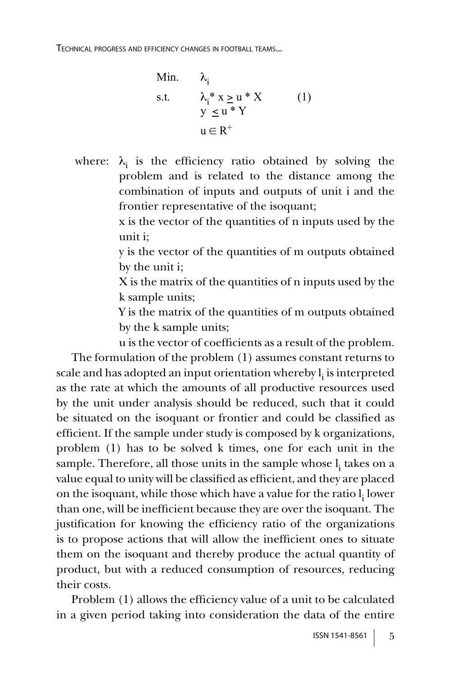Min. 
$$
\lambda_i
$$
  
s.t.  $\lambda_i^* x \ge u^* X$  (1)  
 $y \le u^* Y$   
 $u \in R^+$ 

where:  $\lambda_i$  is the efficiency ratio obtained by solving the problem and is related to the distance among the combination of inputs and outputs of unit i and the frontier representative of the isoquant;

> x is the vector of the quantities of n inputs used by the unit i;

> y is the vector of the quantities of m outputs obtained by the unit i;

> X is the matrix of the quantities of n inputs used by the k sample units;

> Y is the matrix of the quantities of m outputs obtained by the k sample units;

u is the vector of coefficients as a result of the problem. The formulation of the problem (1) assumes constant returns to scale and has adopted an input orientation whereby  $\mathbf{l_i}$  is interpreted as the rate at which the amounts of all productive resources used by the unit under analysis should be reduced, such that it could be situated on the isoquant or frontier and could be classified as efficient. If the sample under study is composed by k organizations, problem (1) has to be solved k times, one for each unit in the sample. Therefore, all those units in the sample whose  $\mathbf{l}_{\mathbf{i}}$  takes on a value equal to unity will be classified as efficient, and they are placed on the isoquant, while those which have a value for the ratio  $\mathbf{l_i}$  lower than one, will be inefficient because they are over the isoquant. The justification for knowing the efficiency ratio of the organizations is to propose actions that will allow the inefficient ones to situate them on the isoquant and thereby produce the actual quantity of product, but with a reduced consumption of resources, reducing their costs.

Problem (1) allows the efficiency value of a unit to be calculated in a given period taking into consideration the data of the entire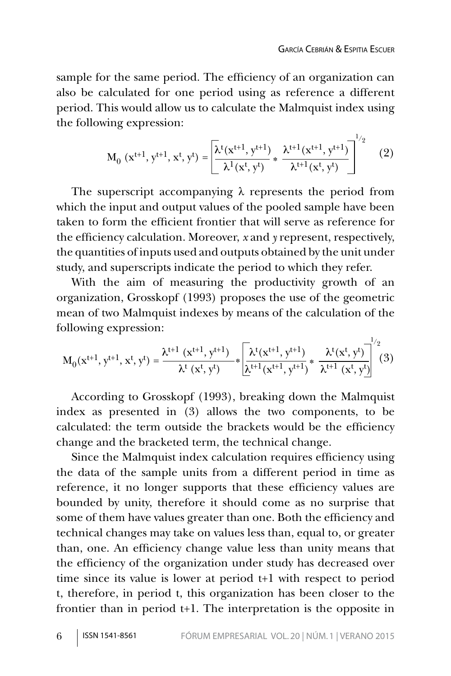$1/2$ 

sample for the same period. The efficiency of an organization can also be calculated for one period using as reference a different period. This would allow us to calculate the Malmquist index using the following expression:

$$
M_0(x^{t+1}, y^{t+1}, x^t, y^t) = \left[ \frac{\lambda^t(x^{t+1}, y^{t+1})}{\lambda^1(x^t, y^t)} * \frac{\lambda^{t+1}(x^{t+1}, y^{t+1})}{\lambda^{t+1}(x^t, y^t)} \right]^{1/2}
$$
(2)

The superscript accompanying λ represents the period from which the input and output values of the pooled sample have been taken to form the efficient frontier that will serve as reference for the efficiency calculation. Moreover, *x* and *y* represent, respectively, the quantities of inputs used and outputs obtained by the unit under study, and superscripts indicate the period to which they refer.

With the aim of measuring the productivity growth of an organization, Grosskopf (1993) proposes the use of the geometric mean of two Malmquist indexes by means of the calculation of the following expression:

$$
M_0(x^{t+1},y^{t+1},x^{t},y^{t})=\frac{\lambda^{t+1}\ (x^{t+1},y^{t+1})}{\lambda^{t}\ (x^{t},y^{t})}*\overline{\left[\frac{\lambda^{t}(x^{t+1},y^{t+1})}{\lambda^{t+1}(x^{t+1},y^{t+1})}\ast\frac{\lambda^{t}(x^{t},y^{t})}{\lambda^{t+1}\ (x^{t},y^{t})}\right]^{2}}(3)
$$

According to Grosskopf (1993), breaking down the Malmquist index as presented in (3) allows the two components, to be calculated: the term outside the brackets would be the efficiency change and the bracketed term, the technical change.

Since the Malmquist index calculation requires efficiency using the data of the sample units from a different period in time as reference, it no longer supports that these efficiency values are bounded by unity, therefore it should come as no surprise that some of them have values greater than one. Both the efficiency and technical changes may take on values less than, equal to, or greater than, one. An efficiency change value less than unity means that the efficiency of the organization under study has decreased over time since its value is lower at period t+1 with respect to period t, therefore, in period t, this organization has been closer to the frontier than in period t+1. The interpretation is the opposite in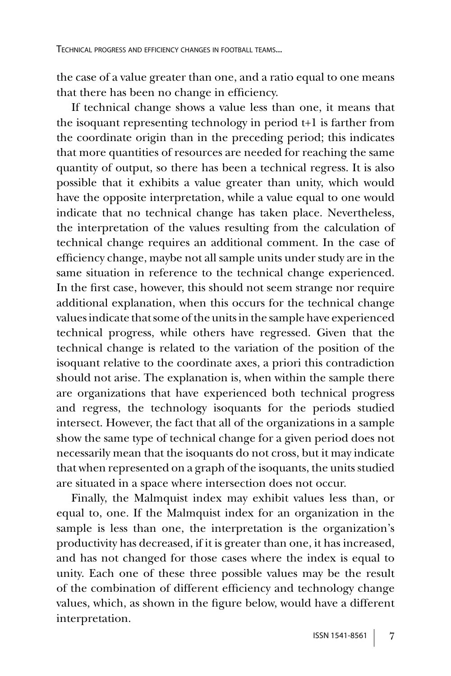the case of a value greater than one, and a ratio equal to one means that there has been no change in efficiency.

If technical change shows a value less than one, it means that the isoquant representing technology in period t+1 is farther from the coordinate origin than in the preceding period; this indicates that more quantities of resources are needed for reaching the same quantity of output, so there has been a technical regress. It is also possible that it exhibits a value greater than unity, which would have the opposite interpretation, while a value equal to one would indicate that no technical change has taken place. Nevertheless, the interpretation of the values resulting from the calculation of technical change requires an additional comment. In the case of efficiency change, maybe not all sample units under study are in the same situation in reference to the technical change experienced. In the first case, however, this should not seem strange nor require additional explanation, when this occurs for the technical change values indicate that some of the units in the sample have experienced technical progress, while others have regressed. Given that the technical change is related to the variation of the position of the isoquant relative to the coordinate axes, a priori this contradiction should not arise. The explanation is, when within the sample there are organizations that have experienced both technical progress and regress, the technology isoquants for the periods studied intersect. However, the fact that all of the organizations in a sample show the same type of technical change for a given period does not necessarily mean that the isoquants do not cross, but it may indicate that when represented on a graph of the isoquants, the units studied are situated in a space where intersection does not occur.

Finally, the Malmquist index may exhibit values less than, or equal to, one. If the Malmquist index for an organization in the sample is less than one, the interpretation is the organization's productivity has decreased, if it is greater than one, it has increased, and has not changed for those cases where the index is equal to unity. Each one of these three possible values may be the result of the combination of different efficiency and technology change values, which, as shown in the figure below, would have a different interpretation.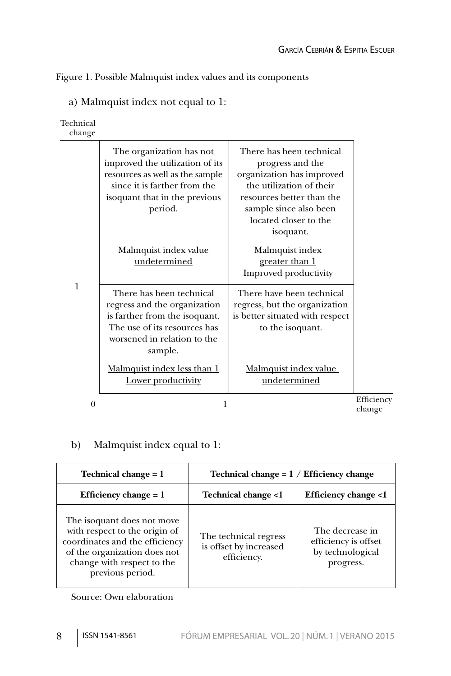Figure 1. Possible Malmquist index values and its components

| Technical<br>change |                                                                                                                                                                            |                                                                                                                                                                                                    |                      |
|---------------------|----------------------------------------------------------------------------------------------------------------------------------------------------------------------------|----------------------------------------------------------------------------------------------------------------------------------------------------------------------------------------------------|----------------------|
|                     | The organization has not<br>improved the utilization of its<br>resources as well as the sample<br>since it is farther from the<br>isoquant that in the previous<br>period. | There has been technical<br>progress and the<br>organization has improved<br>the utilization of their<br>resources better than the<br>sample since also been<br>located closer to the<br>isoquant. |                      |
|                     | Malmquist index value                                                                                                                                                      | Malmquist index                                                                                                                                                                                    |                      |
|                     | undetermined                                                                                                                                                               | greater than 1                                                                                                                                                                                     |                      |
| 1                   |                                                                                                                                                                            | <b>Improved productivity</b>                                                                                                                                                                       |                      |
|                     | There has been technical                                                                                                                                                   | There have been technical                                                                                                                                                                          |                      |
|                     | regress and the organization                                                                                                                                               | regress, but the organization                                                                                                                                                                      |                      |
|                     | is farther from the isoquant.                                                                                                                                              | is better situated with respect                                                                                                                                                                    |                      |
|                     | The use of its resources has<br>worsened in relation to the<br>sample.                                                                                                     | to the isoquant.                                                                                                                                                                                   |                      |
|                     | Malmquist index less than 1<br>Lower productivity                                                                                                                          | Malmquist index value<br>undetermined                                                                                                                                                              |                      |
| 0                   | 1                                                                                                                                                                          |                                                                                                                                                                                                    | Efficiency<br>change |

a) Malmquist index not equal to 1:

### b) Malmquist index equal to 1:

| Technical change $= 1$                                                                                                                                                          | Technical change = $1 /$ Efficiency change                     |                                                                          |
|---------------------------------------------------------------------------------------------------------------------------------------------------------------------------------|----------------------------------------------------------------|--------------------------------------------------------------------------|
| Efficiency change $= 1$                                                                                                                                                         | <b>Technical change &lt;1</b>                                  | <b>Efficiency change &lt;1</b>                                           |
| The isoquant does not move<br>with respect to the origin of<br>coordinates and the efficiency<br>of the organization does not<br>change with respect to the<br>previous period. | The technical regress<br>is offset by increased<br>efficiency. | The decrease in<br>efficiency is offset<br>by technological<br>progress. |

Source: Own elaboration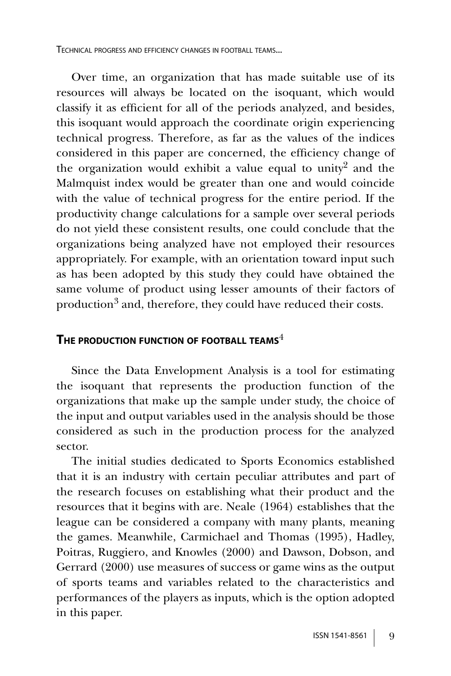TECHNICAL PROGRESS AND EFFICIENCY CHANGES IN FOOTBALL TEAMS...

Over time, an organization that has made suitable use of its resources will always be located on the isoquant, which would classify it as efficient for all of the periods analyzed, and besides, this isoquant would approach the coordinate origin experiencing technical progress. Therefore, as far as the values of the indices considered in this paper are concerned, the efficiency change of the organization would exhibit a value equal to unity<sup>2</sup> and the Malmquist index would be greater than one and would coincide with the value of technical progress for the entire period. If the productivity change calculations for a sample over several periods do not yield these consistent results, one could conclude that the organizations being analyzed have not employed their resources appropriately. For example, with an orientation toward input such as has been adopted by this study they could have obtained the same volume of product using lesser amounts of their factors of production<sup>3</sup> and, therefore, they could have reduced their costs.

### **THE PRODUCTION FUNCTION OF FOOTBALL TEAMS**<sup>4</sup>

Since the Data Envelopment Analysis is a tool for estimating the isoquant that represents the production function of the organizations that make up the sample under study, the choice of the input and output variables used in the analysis should be those considered as such in the production process for the analyzed sector.

The initial studies dedicated to Sports Economics established that it is an industry with certain peculiar attributes and part of the research focuses on establishing what their product and the resources that it begins with are. Neale (1964) establishes that the league can be considered a company with many plants, meaning the games. Meanwhile, Carmichael and Thomas (1995), Hadley, Poitras, Ruggiero, and Knowles (2000) and Dawson, Dobson, and Gerrard (2000) use measures of success or game wins as the output of sports teams and variables related to the characteristics and performances of the players as inputs, which is the option adopted in this paper.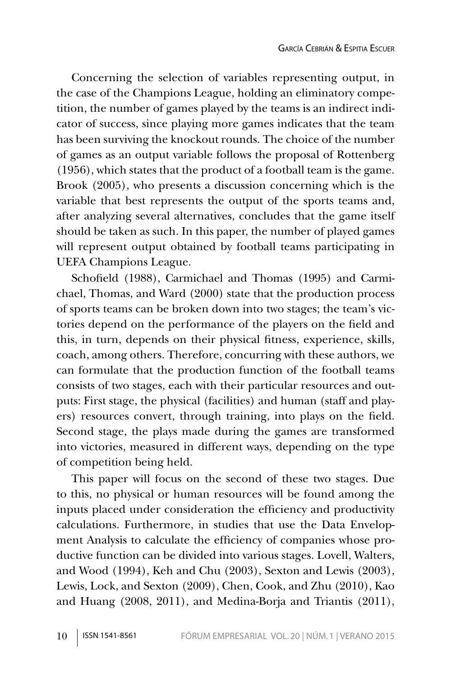Concerning the selection of variables representing output, in the case of the Champions League, holding an eliminatory competition, the number of games played by the teams is an indirect indicator of success, since playing more games indicates that the team has been surviving the knockout rounds. The choice of the number of games as an output variable follows the proposal of Rottenberg (1956), which states that the product of a football team is the game. Brook (2005), who presents a discussion concerning which is the variable that best represents the output of the sports teams and, after analyzing several alternatives, concludes that the game itself should be taken as such. In this paper, the number of played games will represent output obtained by football teams participating in UEFA Champions League.

Schofield (1988), Carmichael and Thomas (1995) and Carmichael, Thomas, and Ward (2000) state that the production process of sports teams can be broken down into two stages; the team's victories depend on the performance of the players on the field and this, in turn, depends on their physical fitness, experience, skills, coach, among others. Therefore, concurring with these authors, we can formulate that the production function of the football teams consists of two stages, each with their particular resources and outputs: First stage, the physical (facilities) and human (staff and players) resources convert, through training, into plays on the field. Second stage, the plays made during the games are transformed into victories, measured in different ways, depending on the type of competition being held.

This paper will focus on the second of these two stages. Due to this, no physical or human resources will be found among the inputs placed under consideration the efficiency and productivity calculations. Furthermore, in studies that use the Data Envelopment Analysis to calculate the efficiency of companies whose productive function can be divided into various stages. Lovell, Walters, and Wood (1994), Keh and Chu (2003), Sexton and Lewis (2003), Lewis, Lock, and Sexton (2009), Chen, Cook, and Zhu (2010), Kao and Huang (2008, 2011), and Medina-Borja and Triantis (2011),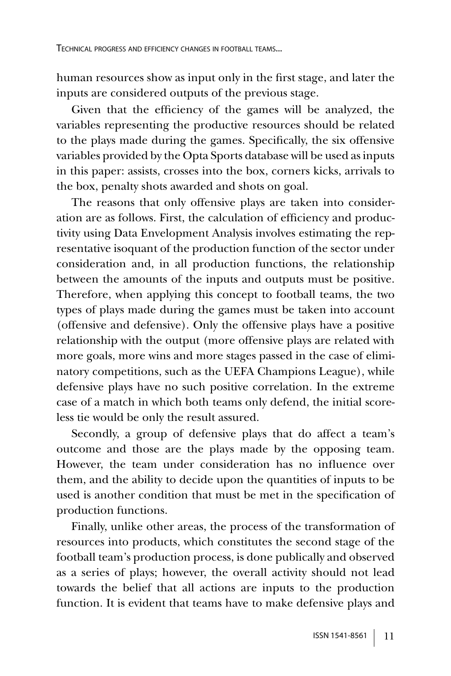human resources show as input only in the first stage, and later the inputs are considered outputs of the previous stage.

Given that the efficiency of the games will be analyzed, the variables representing the productive resources should be related to the plays made during the games. Specifically, the six offensive variables provided by the Opta Sports database will be used as inputs in this paper: assists, crosses into the box, corners kicks, arrivals to the box, penalty shots awarded and shots on goal.

The reasons that only offensive plays are taken into consideration are as follows. First, the calculation of efficiency and productivity using Data Envelopment Analysis involves estimating the representative isoquant of the production function of the sector under consideration and, in all production functions, the relationship between the amounts of the inputs and outputs must be positive. Therefore, when applying this concept to football teams, the two types of plays made during the games must be taken into account (offensive and defensive). Only the offensive plays have a positive relationship with the output (more offensive plays are related with more goals, more wins and more stages passed in the case of eliminatory competitions, such as the UEFA Champions League), while defensive plays have no such positive correlation. In the extreme case of a match in which both teams only defend, the initial scoreless tie would be only the result assured.

Secondly, a group of defensive plays that do affect a team's outcome and those are the plays made by the opposing team. However, the team under consideration has no influence over them, and the ability to decide upon the quantities of inputs to be used is another condition that must be met in the specification of production functions.

Finally, unlike other areas, the process of the transformation of resources into products, which constitutes the second stage of the football team's production process, is done publically and observed as a series of plays; however, the overall activity should not lead towards the belief that all actions are inputs to the production function. It is evident that teams have to make defensive plays and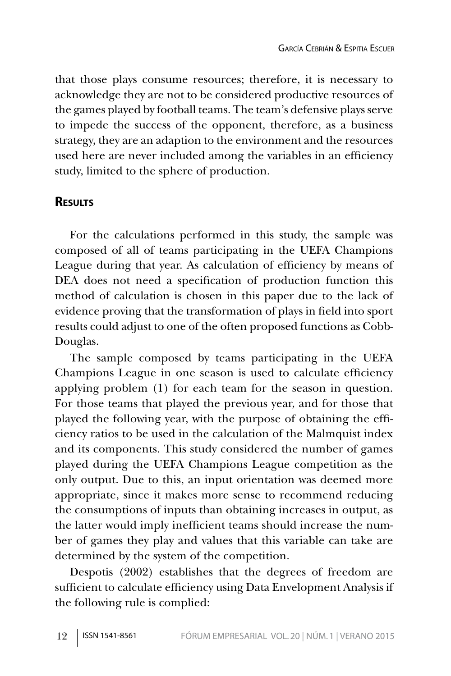that those plays consume resources; therefore, it is necessary to acknowledge they are not to be considered productive resources of the games played by football teams. The team's defensive plays serve to impede the success of the opponent, therefore, as a business strategy, they are an adaption to the environment and the resources used here are never included among the variables in an efficiency study, limited to the sphere of production.

### **RESULTS**

For the calculations performed in this study, the sample was composed of all of teams participating in the UEFA Champions League during that year. As calculation of efficiency by means of DEA does not need a specification of production function this method of calculation is chosen in this paper due to the lack of evidence proving that the transformation of plays in field into sport results could adjust to one of the often proposed functions as Cobb-Douglas.

The sample composed by teams participating in the UEFA Champions League in one season is used to calculate efficiency applying problem (1) for each team for the season in question. For those teams that played the previous year, and for those that played the following year, with the purpose of obtaining the efficiency ratios to be used in the calculation of the Malmquist index and its components. This study considered the number of games played during the UEFA Champions League competition as the only output. Due to this, an input orientation was deemed more appropriate, since it makes more sense to recommend reducing the consumptions of inputs than obtaining increases in output, as the latter would imply inefficient teams should increase the number of games they play and values that this variable can take are determined by the system of the competition.

Despotis (2002) establishes that the degrees of freedom are sufficient to calculate efficiency using Data Envelopment Analysis if the following rule is complied: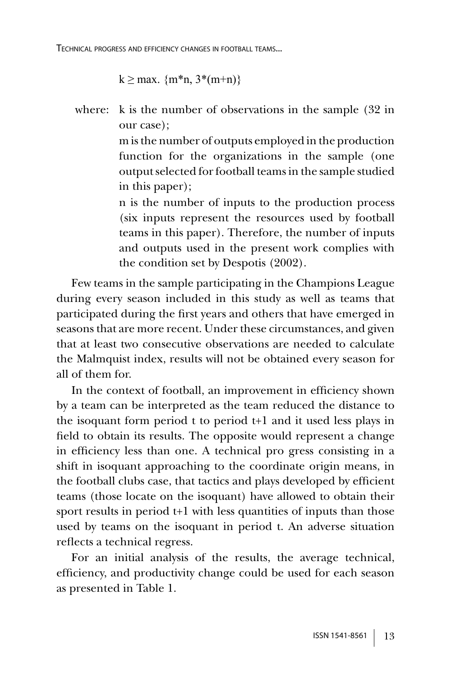```
k \ge \text{max. } \{m^*n, 3^*(m+n)\}\
```
where: k is the number of observations in the sample (32 in our case);

> m is the number of outputs employed in the production function for the organizations in the sample (one output selected for football teams in the sample studied in this paper);

> n is the number of inputs to the production process (six inputs represent the resources used by football teams in this paper). Therefore, the number of inputs and outputs used in the present work complies with the condition set by Despotis (2002).

Few teams in the sample participating in the Champions League during every season included in this study as well as teams that participated during the first years and others that have emerged in seasons that are more recent. Under these circumstances, and given that at least two consecutive observations are needed to calculate the Malmquist index, results will not be obtained every season for all of them for.

In the context of football, an improvement in efficiency shown by a team can be interpreted as the team reduced the distance to the isoquant form period t to period t+1 and it used less plays in field to obtain its results. The opposite would represent a change in efficiency less than one. A technical pro gress consisting in a shift in isoquant approaching to the coordinate origin means, in the football clubs case, that tactics and plays developed by efficient teams (those locate on the isoquant) have allowed to obtain their sport results in period t+1 with less quantities of inputs than those used by teams on the isoquant in period t. An adverse situation reflects a technical regress.

For an initial analysis of the results, the average technical, efficiency, and productivity change could be used for each season as presented in Table 1.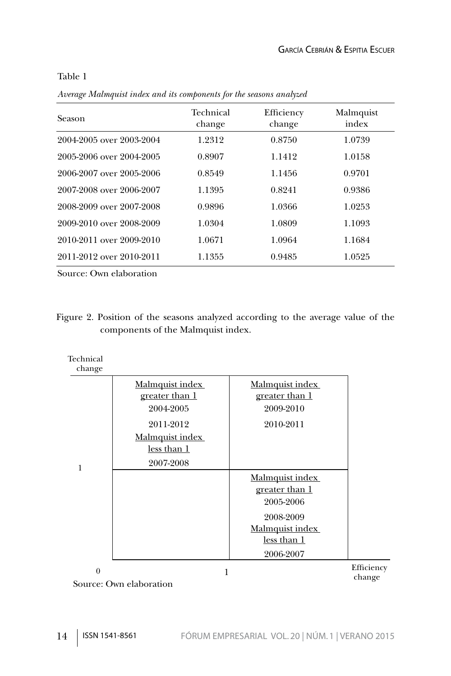#### Table 1

*Average Malmquist index and its components for the seasons analyzed*

| Season                   | Technical<br>change | Efficiency<br>change | Malmquist<br>index |
|--------------------------|---------------------|----------------------|--------------------|
| 2004-2005 over 2003-2004 | 1.2312              | 0.8750               | 1.0739             |
| 2005-2006 over 2004-2005 | 0.8907              | 1.1412               | 1.0158             |
| 2006-2007 over 2005-2006 | 0.8549              | 1.1456               | 0.9701             |
| 2007-2008 over 2006-2007 | 1.1395              | 0.8241               | 0.9386             |
| 2008-2009 over 2007-2008 | 0.9896              | 1.0366               | 1.0253             |
| 2009-2010 over 2008-2009 | 1.0304              | 1.0809               | 1.1093             |
| 2010-2011 over 2009-2010 | 1.0671              | 1.0964               | 1.1684             |
| 2011-2012 over 2010-2011 | 1.1355              | 0.9485               | 1.0525             |

Source: Own elaboration

Figure 2. Position of the seasons analyzed according to the average value of the components of the Malmquist index.

| Technical<br>change |                         |                 |            |
|---------------------|-------------------------|-----------------|------------|
|                     | Malmquist index         | Malmquist index |            |
|                     | greater than 1          | greater than 1  |            |
|                     | 2004-2005               | 2009-2010       |            |
|                     | 2011-2012               | 2010-2011       |            |
|                     | Malmquist index         |                 |            |
|                     | less than 1             |                 |            |
| 1                   | 2007-2008               |                 |            |
|                     |                         | Malmquist index |            |
|                     |                         | greater than 1  |            |
|                     |                         | 2005-2006       |            |
|                     |                         | 2008-2009       |            |
|                     |                         | Malmquist index |            |
|                     |                         | less than 1     |            |
|                     |                         | 2006-2007       |            |
| $\theta$            | 1                       |                 | Efficiency |
|                     | Source: Own elaboration |                 | change     |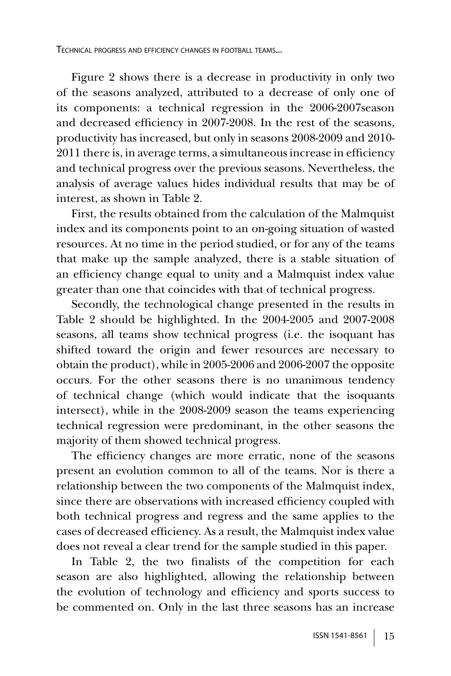Figure 2 shows there is a decrease in productivity in only two of the seasons analyzed, attributed to a decrease of only one of its components: a technical regression in the 2006-2007season and decreased efficiency in 2007-2008. In the rest of the seasons, productivity has increased, but only in seasons 2008-2009 and 2010- 2011 there is, in average terms, a simultaneous increase in efficiency and technical progress over the previous seasons. Nevertheless, the analysis of average values hides individual results that may be of interest, as shown in Table 2.

First, the results obtained from the calculation of the Malmquist index and its components point to an on-going situation of wasted resources. At no time in the period studied, or for any of the teams that make up the sample analyzed, there is a stable situation of an efficiency change equal to unity and a Malmquist index value greater than one that coincides with that of technical progress.

Secondly, the technological change presented in the results in Table 2 should be highlighted. In the 2004-2005 and 2007-2008 seasons, all teams show technical progress (i.e. the isoquant has shifted toward the origin and fewer resources are necessary to obtain the product), while in 2005-2006 and 2006-2007 the opposite occurs. For the other seasons there is no unanimous tendency of technical change (which would indicate that the isoquants intersect), while in the 2008-2009 season the teams experiencing technical regression were predominant, in the other seasons the majority of them showed technical progress.

The efficiency changes are more erratic, none of the seasons present an evolution common to all of the teams. Nor is there a relationship between the two components of the Malmquist index, since there are observations with increased efficiency coupled with both technical progress and regress and the same applies to the cases of decreased efficiency. As a result, the Malmquist index value does not reveal a clear trend for the sample studied in this paper.

In Table 2, the two finalists of the competition for each season are also highlighted, allowing the relationship between the evolution of technology and efficiency and sports success to be commented on. Only in the last three seasons has an increase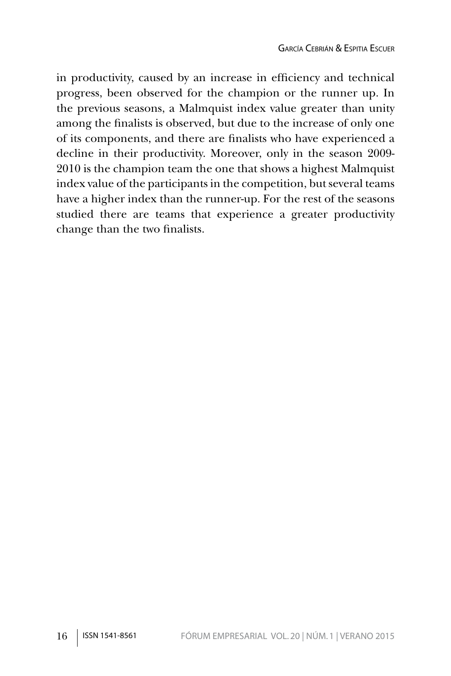in productivity, caused by an increase in efficiency and technical progress, been observed for the champion or the runner up. In the previous seasons, a Malmquist index value greater than unity among the finalists is observed, but due to the increase of only one of its components, and there are finalists who have experienced a decline in their productivity. Moreover, only in the season 2009- 2010 is the champion team the one that shows a highest Malmquist index value of the participants in the competition, but several teams have a higher index than the runner-up. For the rest of the seasons studied there are teams that experience a greater productivity change than the two finalists.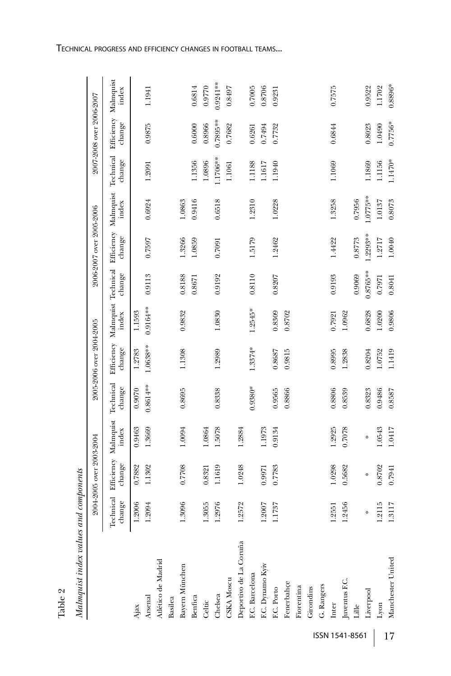| Table 2                               |                     |                          |                               |                     |                          |                              |             |                          |                    |                     |                          |                    |
|---------------------------------------|---------------------|--------------------------|-------------------------------|---------------------|--------------------------|------------------------------|-------------|--------------------------|--------------------|---------------------|--------------------------|--------------------|
| Malmquist index values and components |                     |                          |                               |                     |                          |                              |             |                          |                    |                     |                          |                    |
|                                       |                     | 2004-2005 over 2003-2004 |                               |                     | 2005-2006 over 2004-2005 |                              |             | 2006-2007 over 2005-2006 |                    |                     | 2007-2008 over 2006-2007 |                    |
|                                       | Technical<br>change | change                   | Efficiency Malmquist<br>index | Technical<br>change | Efficiency<br>change     | Malmquist Technical<br>index | change      | Efficiency<br>change     | Malmquist<br>index | Technical<br>change | Efficiency<br>change     | Malmquist<br>index |
| Ajax                                  | 1.2006              | 0.7882                   | 0.9463                        | 0.9070              | 1.2783                   | 1.1593                       |             |                          |                    |                     |                          |                    |
| Arsenal                               | 1.2094              | 1.1302                   | 1.3669                        | $0.8614***$         | $1.0638**$               | 0.9164**                     | 0.9113      | 0.7597                   | 0.6924             | 1.2091              | 0.9875                   | 1.1941             |
| Atlético de Madrid                    |                     |                          |                               |                     |                          |                              |             |                          |                    |                     |                          |                    |
| Basilea                               |                     |                          |                               |                     |                          |                              |             |                          |                    |                     |                          |                    |
| Bayern München                        | 1.3096              | 0.7708                   | 1.0094                        | 0.8695              | 1.1308                   | 0.9832                       | 0.8188      | 1.3266                   | 1.0863             |                     |                          |                    |
| Benfica                               |                     |                          |                               |                     |                          |                              | 0.8671      | 1.0859                   | 0.9416             | 1.1356              | 0.6000                   | 0.6814             |
| Celtic                                | 1.3055              | 0.8321                   | 1.0864                        |                     |                          |                              |             |                          |                    | 1.0896              | 0.8966                   | 0.9770             |
| Chelsea                               | 1.2976              | 1.1619                   | 1.5078                        | 0.8338              | 1.2989                   | 1.0830                       | 0.9192      | 0.7091                   | 0.6518             | $.1706**$           | 0.7895**                 | $0.9241**$         |
| CSKA Moscu                            |                     |                          |                               |                     |                          |                              |             |                          |                    | 1.1061              | 0.7682                   | 0.8497             |
| Deportivo de La Coruña                | 1.2572              | 1.0248                   | 1.2884                        |                     |                          |                              |             |                          |                    |                     |                          |                    |
| F.C. Barcelona                        |                     |                          |                               | 0.9380*             | 1.3374*                  | 1.2545*                      | 0.8110      | 1.5179                   | 1.2310             | 1.1188              | 0.6261                   | 0.7005             |
| F.C. Dynamo Kyiv                      | 1.2007              | 0.9971                   | 1.1973                        |                     |                          |                              |             |                          |                    | 1.1617              | 0.7494                   | 0.8706             |
| F.C. Porto                            | 1.1737              | 0.7783                   | 0.9134                        | 0.9565              | 0.8687                   | 0.8309                       | 0.8207      | 1.2462                   | 1.0228             | 1.1940              | 0.7732                   | 0.9231             |
| Fenerbahçe                            |                     |                          |                               | 0.8866              | 0.9815                   | 0.8702                       |             |                          |                    |                     |                          |                    |
| Fiorentina                            |                     |                          |                               |                     |                          |                              |             |                          |                    |                     |                          |                    |
| Girondins                             |                     |                          |                               |                     |                          |                              |             |                          |                    |                     |                          |                    |
| G. Rangers                            |                     |                          |                               |                     |                          |                              |             |                          |                    |                     |                          |                    |
| Inter                                 | 1.2551              | 1.0298                   | 1.2925                        | 0.8806              | 0.8995                   | 0.7921                       | 0.9193      | 1.4422                   | 1.3258             | 1.1069              | 0.6844                   | 0.7575             |
| Juventus F.C.                         | 1.2456              | 0.5682                   | 0.7078                        | 0.8539              | 1.2838                   | 1.0962                       |             |                          |                    |                     |                          |                    |
| Lille                                 |                     |                          |                               |                     |                          |                              | 0.9069      | 0.8773                   | 0.7956             |                     |                          |                    |
| Liverpool                             | ⋇                   | ₩                        | ⋇                             | 0.8323              | 0.8204                   | 0.6828                       | $0.8765***$ | $.2293**$                | 1.0775**           | 1.1869              | 0.8023                   | 0.9522             |
| Lyon                                  | 1.2115              | 0.8702                   | 1.0543                        | 0.9486              | 1.0752                   | 1.0200                       | 0.7971      | 1.2717                   | 1.0137             | 1.1156              | 1.0490                   | 1.1702             |
| Manchester United                     | 1.3117              | 0.7941                   | 1.0417                        | 0.8587              | 1.1419                   | 0.9806                       | 0.8041      | 1.0040                   | 0.8073             | 1.1470*             | $0.7756*$                | 0.8896*            |

ISSN 1541-8561 | 17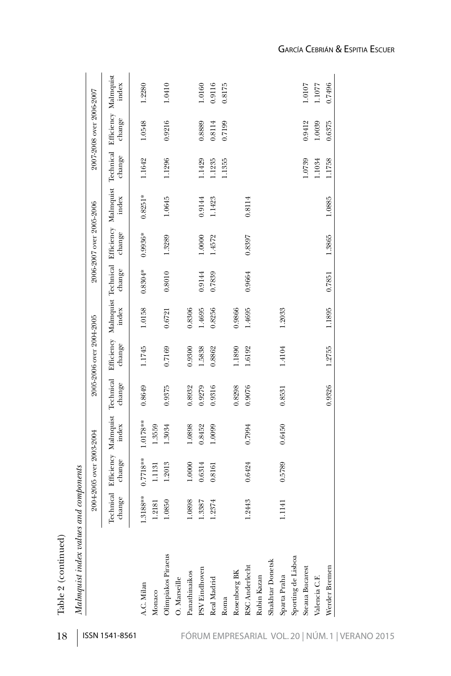| Malmquist index values and components |                     |                          |                               |                     |                          |        |           |                          |                                                              |        |                                          |        |
|---------------------------------------|---------------------|--------------------------|-------------------------------|---------------------|--------------------------|--------|-----------|--------------------------|--------------------------------------------------------------|--------|------------------------------------------|--------|
|                                       |                     | 2004-2005 over 2003-2004 |                               |                     | 2005-2006 over 2004-2005 |        |           | 2006-2007 over 2005-2006 |                                                              |        | 2007-2008 over 2006-2007                 |        |
|                                       | Technical<br>change | change                   | Efficiency Malmquist<br>index | Technical<br>change | change                   | index  | change    | change                   | Efficiency Malmquist Technical Efficiency Malmquist<br>index | change | Technical Efficiency Malmquist<br>change | index  |
| A.C. Milan                            | 1.3188**            | $0.7718**$               | 1.0178**                      | 0.8649              | 1.1745                   | 1.0158 | $0.8304*$ | $0.9936*$                | $0.8251*$                                                    | 1.1642 | 1.0548                                   | 1.2280 |
| Monaco                                | 1.2181              | 1.1131                   | 1.3559                        |                     |                          |        |           |                          |                                                              |        |                                          |        |
| Olimpiakos Piraeus                    | 1.0850              | 1.2013                   | 1.3034                        | 0.9375              | 0.7169                   | 0.6721 | 0.8010    | 1.3289                   | 1.0645                                                       | 1.1296 | 0.9216                                   | 1.0410 |
| O. Marseille                          |                     |                          |                               |                     |                          |        |           |                          |                                                              |        |                                          |        |
| Panathinaikos                         | 1.0898              | 1.0000                   | 1.0898                        | 0.8932              | 0.9300                   | 0.8306 |           |                          |                                                              |        |                                          |        |
| PSV Eindhoven                         | .3387               | 0.6314                   | 0.8452                        | 0.9279              | 1.5838                   | 1.4695 | 0.9144    | 1.0000                   | 0.9144                                                       | 1.1429 | 0.8889                                   | 1.0160 |
| Real Madrid                           | 1.2374              | 0.8161                   | 1.0099                        | 0.9316              | 0.8862                   | 0.8256 | 0.7839    | 1.4572                   | 1.1423                                                       | 1.1235 | 0.8114                                   | 0.9116 |
| Roma                                  |                     |                          |                               |                     |                          |        |           |                          |                                                              | 1.1355 | 0.7199                                   | 0.8175 |
| Rosenborg BK                          |                     |                          |                               | 0.8298              | 1.1890                   | 0.9866 |           |                          |                                                              |        |                                          |        |
| <b>RSC</b> Anderlecht                 | 1.2443              | 0.6424                   | 0.7994                        | 0.9076              | 1.6192                   | 1.4695 | 0.9664    | 0.8397                   | 0.8114                                                       |        |                                          |        |
| Rubin Kazan                           |                     |                          |                               |                     |                          |        |           |                          |                                                              |        |                                          |        |
| Shakhtar Donetsk                      |                     |                          |                               |                     |                          |        |           |                          |                                                              |        |                                          |        |
| Sparta Praha                          | 1.1141              | 0.5789                   | 0.6450                        | 0.8531              | 1.4104                   | 1.2033 |           |                          |                                                              |        |                                          |        |
| Sporting de Lisboa                    |                     |                          |                               |                     |                          |        |           |                          |                                                              |        |                                          |        |
| Steaua Bucarest                       |                     |                          |                               |                     |                          |        |           |                          |                                                              | 1.0739 | 0.9412                                   | 1.0107 |
| Valencia C.F.                         |                     |                          |                               |                     |                          |        |           |                          |                                                              | 1.1034 | 1.0039                                   | 1.1077 |
| Werder Bremen                         |                     |                          |                               | 0.9326              | 1.2755                   | 1.1895 | 0.7851    | 1.3865                   | 1.0885                                                       | 1.1758 | 0.6375                                   | 0.7496 |
|                                       |                     |                          |                               |                     |                          |        |           |                          |                                                              |        |                                          |        |

Table 2 (continued)

Table 2 (continued)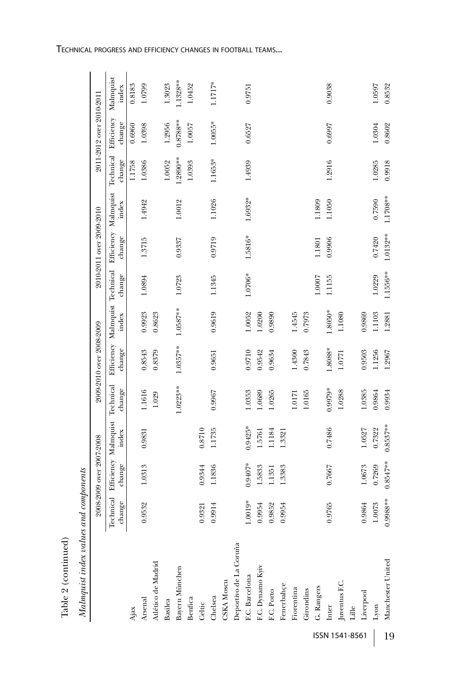| $0.8547***$<br>0.9407*<br>change<br>1.0313<br>0.9344<br>1.0673<br>0.7269<br>0.7667<br>1.1836<br>1.5833<br>1.3383<br>1.1351<br>Technical<br>0.9988**<br>1.0019*<br>change<br>0.9864<br>1.0073<br>0.9532<br>0.9954<br>0.9765<br>0.9914<br>0.9852<br>0.9954<br>0.9321<br>Deportivo de La Coruña<br>Manchester United<br>Atlético de Madrid<br>Bayern München<br>F.C. Dynamo Kyiv<br>F.C. Barcelona<br><b>CSKA</b> Moscu<br>Juventus F.C.<br>Fenerbahçe<br>G. Rangers<br>Fiorentina<br>F.C. Porto<br>Girondins<br>Liverpool<br>Chelsea<br>Benfica<br>Arsenal<br>Basilea<br>Celtic<br>Inter<br>$\mathop{\rm _{Lille}}$<br>Lyon<br>Ajax | Efficiency Malmquist<br>$0.8537**$<br>0.9425*<br>0.7486<br>0.7322<br>1.0527<br>0.8710<br>1.1735<br>index<br>1.1184<br>0.9831<br>1.5761<br>1.3321<br>2008-2009 over 2007-2008 | Technical<br>1.0223**<br>$0.9979*$<br>change<br>1.1616<br>0.9967<br>1.0353<br>1.0385<br>0.9864<br>1.0689<br>1.0265<br>1.0288<br>0.9934<br>1.0165<br>1.0171<br>1.029 | 1.0357**<br>1.8088*<br>change<br>0.9710<br>1.4300<br>0.8543<br>0.9542<br>0.9503<br>1.1256<br>1.2967<br>0.9634<br>0.7843<br>0.8379<br>0.9651<br>1.0771 | $1.0587**$<br>$1.8050*$<br>0.9619<br>0.9923<br>1.0052<br>0.9869<br>1.1103<br>1.4545<br>index<br>0.8623<br>0.9890<br>1.1080<br>1.0200<br>0.7973<br>1.2881<br>2009-2010 over 2008-2009<br>Efficiency | 1.1556**<br>1.0706*<br>change<br>1.0229<br>1.0894<br>1.0723<br>1.1345<br>1.0007<br>1.1155 | 1.0132**<br>1.5816*<br>change<br>1.3715<br>0.9719<br>0.7420<br>0.9337<br>0.9906<br>1.1801<br>Malmquist Technical | Efficiency Malmquist<br>1.1708**<br>1.6932*<br>1.1026<br>0.7590<br>1.1050<br>1.0012<br>1.1809<br>1.4942<br>index<br>2010-2011 over 2009-2010 | Technical<br>1.2890**<br>1.1653*<br>change<br>1.2916<br>1.0052<br>1.4939<br>1.0386<br>1.0285<br>0.9918<br>1.1758<br>1.0393 | 2011-2012 over 2010-2011<br>Efficiency<br>$0.8788**$<br>$1.0055*$<br>change<br>1.2956<br>0.6997<br>0.6527<br>1.0398<br>1.0304<br>0.8602<br>1.0057<br>0.6960 |  |  |  |  |  |  |  |  |  |  |  | ISSN 1541-8561 |  |  | 19 |
|-----------------------------------------------------------------------------------------------------------------------------------------------------------------------------------------------------------------------------------------------------------------------------------------------------------------------------------------------------------------------------------------------------------------------------------------------------------------------------------------------------------------------------------------------------------------------------------------------------------------------------------|------------------------------------------------------------------------------------------------------------------------------------------------------------------------------|---------------------------------------------------------------------------------------------------------------------------------------------------------------------|-------------------------------------------------------------------------------------------------------------------------------------------------------|----------------------------------------------------------------------------------------------------------------------------------------------------------------------------------------------------|-------------------------------------------------------------------------------------------|------------------------------------------------------------------------------------------------------------------|----------------------------------------------------------------------------------------------------------------------------------------------|----------------------------------------------------------------------------------------------------------------------------|-------------------------------------------------------------------------------------------------------------------------------------------------------------|--|--|--|--|--|--|--|--|--|--|--|----------------|--|--|----|
|                                                                                                                                                                                                                                                                                                                                                                                                                                                                                                                                                                                                                                   |                                                                                                                                                                              |                                                                                                                                                                     |                                                                                                                                                       |                                                                                                                                                                                                    |                                                                                           |                                                                                                                  |                                                                                                                                              |                                                                                                                            |                                                                                                                                                             |  |  |  |  |  |  |  |  |  |  |  |                |  |  |    |
|                                                                                                                                                                                                                                                                                                                                                                                                                                                                                                                                                                                                                                   |                                                                                                                                                                              |                                                                                                                                                                     |                                                                                                                                                       |                                                                                                                                                                                                    |                                                                                           |                                                                                                                  |                                                                                                                                              |                                                                                                                            |                                                                                                                                                             |  |  |  |  |  |  |  |  |  |  |  |                |  |  |    |
|                                                                                                                                                                                                                                                                                                                                                                                                                                                                                                                                                                                                                                   |                                                                                                                                                                              |                                                                                                                                                                     |                                                                                                                                                       |                                                                                                                                                                                                    |                                                                                           |                                                                                                                  |                                                                                                                                              |                                                                                                                            |                                                                                                                                                             |  |  |  |  |  |  |  |  |  |  |  |                |  |  |    |

TECHNICAL PROGRESS AND EFFICIENCY CHANGES IN FOOTBALL TEAMS...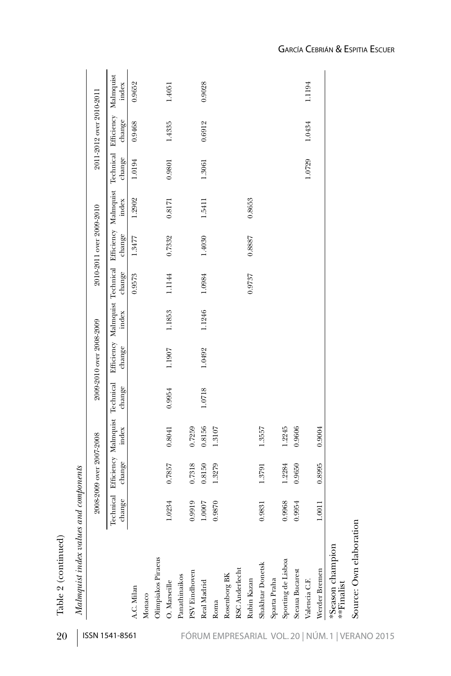| Malmquist index values and components |        |                                                                                                        |        |        |                          |        |        |                          |        |                                |                          |                    |
|---------------------------------------|--------|--------------------------------------------------------------------------------------------------------|--------|--------|--------------------------|--------|--------|--------------------------|--------|--------------------------------|--------------------------|--------------------|
|                                       |        | 2008-2009 over 2007-2008                                                                               |        |        | 2009-2010 over 2008-2009 |        |        | 2010-2011 over 2009-2010 |        |                                | 2011-2012 over 2010-2011 |                    |
|                                       | change | Technical Efficiency Malmquist Technical Efficiency Malmquist Technical Efficiency Malmquist<br>change | index  | change | change                   | index  | change | change                   | index  | Technical Efficiency<br>change | change                   | Malmquist<br>index |
| A.C. Milan                            |        |                                                                                                        |        |        |                          |        | 0.9573 | 1.3477                   | 1.2902 | 1.0194                         | 0.9468                   | 0.9652             |
| Monaco                                |        |                                                                                                        |        |        |                          |        |        |                          |        |                                |                          |                    |
| Olimpiakos Piraeus                    |        |                                                                                                        |        |        |                          |        |        |                          |        |                                |                          |                    |
| O. Marseille                          | 1.0234 | 0.7857                                                                                                 | 0.8041 | 0.9954 | 1.1907                   | 1.1853 | 1.1144 | 0.7332                   | 0.8171 | 0.9801                         | 1.4335                   | 1.4051             |
| Panathinaikos                         |        |                                                                                                        |        |        |                          |        |        |                          |        |                                |                          |                    |
| PSV Eindhoven                         | 0.9919 | 0.7318                                                                                                 | 0.7259 |        |                          |        |        |                          |        |                                |                          |                    |
| Real Madrid                           | 1.0007 | 0.8150                                                                                                 | 0.8156 | 1.0718 | 1.0492                   | 1.1246 | 1.0984 | 1.4030                   | 1.5411 | 1.3061                         | 0.6912                   | 0.9028             |
| Roma                                  | 0.9870 | 1.3279                                                                                                 | 1.3107 |        |                          |        |        |                          |        |                                |                          |                    |
| Rosenborg BK                          |        |                                                                                                        |        |        |                          |        |        |                          |        |                                |                          |                    |
| RSC Anderlecht                        |        |                                                                                                        |        |        |                          |        |        |                          |        |                                |                          |                    |
| Rubin Kazan                           |        |                                                                                                        |        |        |                          |        | 0.9737 | 0.8887                   | 0.8653 |                                |                          |                    |
| Shakhtar Donetsk                      | 0.9831 | 1.3791                                                                                                 | 1.3557 |        |                          |        |        |                          |        |                                |                          |                    |
| Sparta Praha                          |        |                                                                                                        |        |        |                          |        |        |                          |        |                                |                          |                    |
| Sporting de Lisboa                    | 0.9968 | 1.2284                                                                                                 | 1.2245 |        |                          |        |        |                          |        |                                |                          |                    |
| Steaua Bucarest                       | 0.9954 | 0.9650                                                                                                 | 0.9606 |        |                          |        |        |                          |        |                                |                          |                    |
| Valencia C.F.                         |        |                                                                                                        |        |        |                          |        |        |                          |        | 1.0729                         | 1.0434                   | 1.1194             |
| Werder Bremen                         | 1.0011 | 0.8995                                                                                                 | 0.9004 |        |                          |        |        |                          |        |                                |                          |                    |
| *Season champion<br>**Finalist        |        |                                                                                                        |        |        |                          |        |        |                          |        |                                |                          |                    |
| Source: Own elaboration               |        |                                                                                                        |        |        |                          |        |        |                          |        |                                |                          |                    |

Table 2 (continued) Table 2 (continued)

20 | ISSN 1541-8561 FÓRUM EMPRESARIAL VOL. 20 | NÚM. 1 | VERANO 2015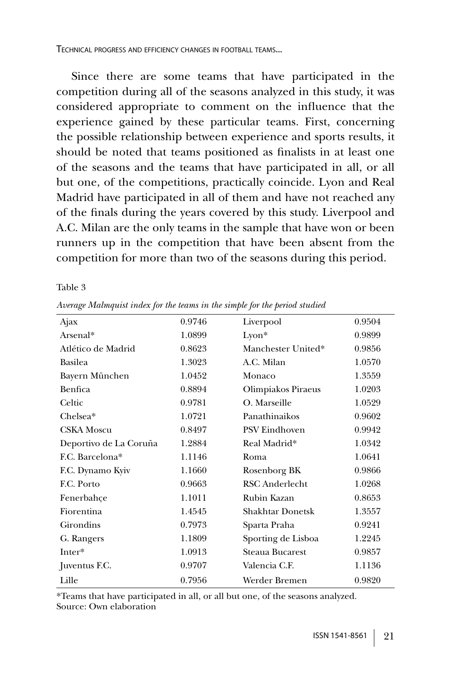TECHNICAL PROGRESS AND EFFICIENCY CHANGES IN FOOTBALL TEAMS...

Since there are some teams that have participated in the competition during all of the seasons analyzed in this study, it was considered appropriate to comment on the influence that the experience gained by these particular teams. First, concerning the possible relationship between experience and sports results, it should be noted that teams positioned as finalists in at least one of the seasons and the teams that have participated in all, or all but one, of the competitions, practically coincide. Lyon and Real Madrid have participated in all of them and have not reached any of the finals during the years covered by this study. Liverpool and A.C. Milan are the only teams in the sample that have won or been runners up in the competition that have been absent from the competition for more than two of the seasons during this period.

Table 3

| Ajax                   | 0.9746 | Liverpool               | 0.9504 |
|------------------------|--------|-------------------------|--------|
| Arsenal*               | 1.0899 | $L$ yon $*$             | 0.9899 |
| Atlético de Madrid     | 0.8623 | Manchester United*      | 0.9856 |
| <b>Basilea</b>         | 1.3023 | A.C. Milan              | 1.0570 |
| Bayern München         | 1.0452 | Monaco                  | 1.3559 |
| Benfica                | 0.8894 | Olimpiakos Piraeus      | 1.0203 |
| Celtic                 | 0.9781 | O. Marseille            | 1.0529 |
| Chelsea*               | 1.0721 | Panathinaikos           | 0.9602 |
| <b>CSKA</b> Moscu      | 0.8497 | <b>PSV Eindhoven</b>    | 0.9942 |
| Deportivo de La Coruña | 1.2884 | Real Madrid*            | 1.0342 |
| F.C. Barcelona*        | 1.1146 | Roma                    | 1.0641 |
| F.C. Dynamo Kyiv       | 1.1660 | Rosenborg BK            | 0.9866 |
| F.C. Porto             | 0.9663 | <b>RSC</b> Anderlecht   | 1.0268 |
| Fenerbahce             | 1.1011 | Rubin Kazan             | 0.8653 |
| Fiorentina             | 1.4545 | <b>Shakhtar Donetsk</b> | 1.3557 |
| Girondins              | 0.7973 | Sparta Praha            | 0.9241 |
| G. Rangers             | 1.1809 | Sporting de Lisboa      | 1.2245 |
| Inter*                 | 1.0913 | Steaua Bucarest         | 0.9857 |
| Juventus F.C.          | 0.9707 | Valencia C.F.           | 1.1136 |
| Lille                  | 0.7956 | Werder Bremen           | 0.9820 |

*Average Malmquist index for the teams in the simple for the period studied*

\*Teams that have participated in all, or all but one, of the seasons analyzed. Source: Own elaboration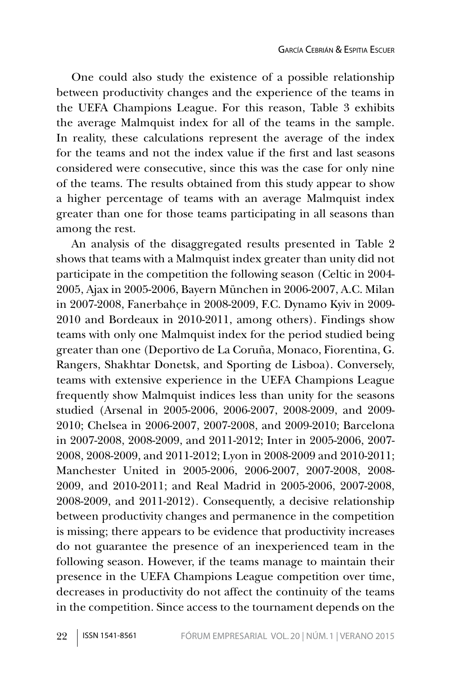One could also study the existence of a possible relationship between productivity changes and the experience of the teams in the UEFA Champions League. For this reason, Table 3 exhibits the average Malmquist index for all of the teams in the sample. In reality, these calculations represent the average of the index for the teams and not the index value if the first and last seasons considered were consecutive, since this was the case for only nine of the teams. The results obtained from this study appear to show a higher percentage of teams with an average Malmquist index greater than one for those teams participating in all seasons than among the rest.

An analysis of the disaggregated results presented in Table 2 shows that teams with a Malmquist index greater than unity did not participate in the competition the following season (Celtic in 2004- 2005, Ajax in 2005-2006, Bayern München in 2006-2007, A.C. Milan in 2007-2008, Fanerbahçe in 2008-2009, F.C. Dynamo Kyiv in 2009- 2010 and Bordeaux in 2010-2011, among others). Findings show teams with only one Malmquist index for the period studied being greater than one (Deportivo de La Coruña, Monaco, Fiorentina, G. Rangers, Shakhtar Donetsk, and Sporting de Lisboa). Conversely, teams with extensive experience in the UEFA Champions League frequently show Malmquist indices less than unity for the seasons studied (Arsenal in 2005-2006, 2006-2007, 2008-2009, and 2009- 2010; Chelsea in 2006-2007, 2007-2008, and 2009-2010; Barcelona in 2007-2008, 2008-2009, and 2011-2012; Inter in 2005-2006, 2007- 2008, 2008-2009, and 2011-2012; Lyon in 2008-2009 and 2010-2011; Manchester United in 2005-2006, 2006-2007, 2007-2008, 2008- 2009, and 2010-2011; and Real Madrid in 2005-2006, 2007-2008, 2008-2009, and 2011-2012). Consequently, a decisive relationship between productivity changes and permanence in the competition is missing; there appears to be evidence that productivity increases do not guarantee the presence of an inexperienced team in the following season. However, if the teams manage to maintain their presence in the UEFA Champions League competition over time, decreases in productivity do not affect the continuity of the teams in the competition. Since access to the tournament depends on the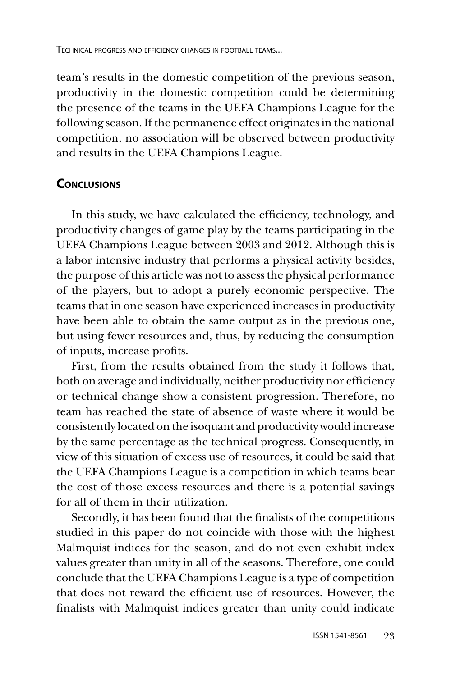team's results in the domestic competition of the previous season, productivity in the domestic competition could be determining the presence of the teams in the UEFA Champions League for the following season. If the permanence effect originates in the national competition, no association will be observed between productivity and results in the UEFA Champions League.

### **CONCLUSIONS**

In this study, we have calculated the efficiency, technology, and productivity changes of game play by the teams participating in the UEFA Champions League between 2003 and 2012. Although this is a labor intensive industry that performs a physical activity besides, the purpose of this article was not to assess the physical performance of the players, but to adopt a purely economic perspective. The teams that in one season have experienced increases in productivity have been able to obtain the same output as in the previous one, but using fewer resources and, thus, by reducing the consumption of inputs, increase profits.

First, from the results obtained from the study it follows that, both on average and individually, neither productivity nor efficiency or technical change show a consistent progression. Therefore, no team has reached the state of absence of waste where it would be consistently located on the isoquant and productivity would increase by the same percentage as the technical progress. Consequently, in view of this situation of excess use of resources, it could be said that the UEFA Champions League is a competition in which teams bear the cost of those excess resources and there is a potential savings for all of them in their utilization.

Secondly, it has been found that the finalists of the competitions studied in this paper do not coincide with those with the highest Malmquist indices for the season, and do not even exhibit index values greater than unity in all of the seasons. Therefore, one could conclude that the UEFA Champions League is a type of competition that does not reward the efficient use of resources. However, the finalists with Malmquist indices greater than unity could indicate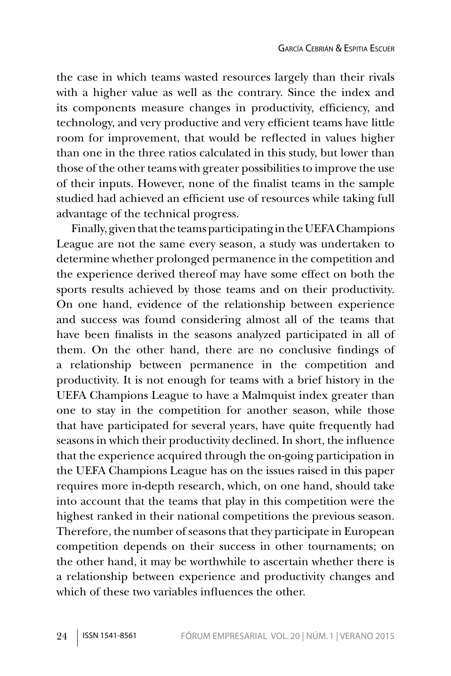the case in which teams wasted resources largely than their rivals with a higher value as well as the contrary. Since the index and its components measure changes in productivity, efficiency, and technology, and very productive and very efficient teams have little room for improvement, that would be reflected in values higher than one in the three ratios calculated in this study, but lower than those of the other teams with greater possibilities to improve the use of their inputs. However, none of the finalist teams in the sample studied had achieved an efficient use of resources while taking full advantage of the technical progress.

Finally, given that the teams participating in the UEFA Champions League are not the same every season, a study was undertaken to determine whether prolonged permanence in the competition and the experience derived thereof may have some effect on both the sports results achieved by those teams and on their productivity. On one hand, evidence of the relationship between experience and success was found considering almost all of the teams that have been finalists in the seasons analyzed participated in all of them. On the other hand, there are no conclusive findings of a relationship between permanence in the competition and productivity. It is not enough for teams with a brief history in the UEFA Champions League to have a Malmquist index greater than one to stay in the competition for another season, while those that have participated for several years, have quite frequently had seasons in which their productivity declined. In short, the influence that the experience acquired through the on-going participation in the UEFA Champions League has on the issues raised in this paper requires more in-depth research, which, on one hand, should take into account that the teams that play in this competition were the highest ranked in their national competitions the previous season. Therefore, the number of seasons that they participate in European competition depends on their success in other tournaments; on the other hand, it may be worthwhile to ascertain whether there is a relationship between experience and productivity changes and which of these two variables influences the other.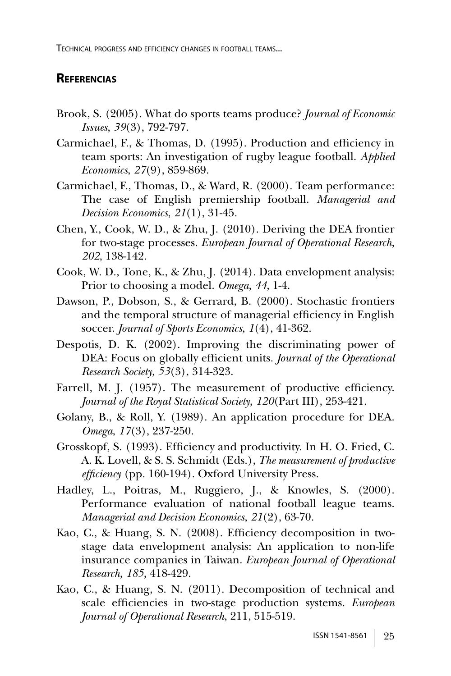TECHNICAL PROGRESS AND EFFICIENCY CHANGES IN FOOTBALL TEAMS...

### **REFERENCIAS**

- Brook, S. (2005). What do sports teams produce? *Journal of Economic Issues*, *39*(3), 792-797.
- Carmichael, F., & Thomas, D. (1995). Production and efficiency in team sports: An investigation of rugby league football. *Applied Economics*, *27*(9), 859-869.
- Carmichael, F., Thomas, D., & Ward, R. (2000). Team performance: The case of English premiership football. *Managerial and Decision Economics*, *21*(1), 31-45.
- Chen, Y., Cook, W. D., & Zhu, J. (2010). Deriving the DEA frontier for two-stage processes. *European Journal of Operational Research*, *202*, 138-142.
- Cook, W. D., Tone, K., & Zhu, J. (2014). Data envelopment analysis: Prior to choosing a model. *Omega*, *44*, 1-4.
- Dawson, P., Dobson, S., & Gerrard, B. (2000). Stochastic frontiers and the temporal structure of managerial efficiency in English soccer. *Journal of Sports Economics*, *1*(4), 41-362.
- Despotis, D. K. (2002). Improving the discriminating power of DEA: Focus on globally efficient units. *Journal of the Operational Research Society*, *53*(3), 314-323.
- Farrell, M. J. (1957). The measurement of productive efficiency. *Journal of the Royal Statistical Society*, *120*(Part III), 253-421.
- Golany, B., & Roll, Y. (1989). An application procedure for DEA. *Omega*, *17*(3), 237-250.
- Grosskopf, S. (1993). Efficiency and productivity. In H. O. Fried, C. A. K. Lovell, & S. S. Schmidt (Eds.), *The measurement of productive efficiency* (pp. 160-194). Oxford University Press.
- Hadley, L., Poitras, M., Ruggiero, J., & Knowles, S. (2000). Performance evaluation of national football league teams. *Managerial and Decision Economics*, *21*(2), 63-70.
- Kao, C., & Huang, S. N. (2008). Efficiency decomposition in twostage data envelopment analysis: An application to non-life insurance companies in Taiwan. *European Journal of Operational Research*, *185*, 418-429.
- Kao, C., & Huang, S. N. (2011). Decomposition of technical and scale efficiencies in two-stage production systems. *European Journal of Operational Research*, 211, 515-519.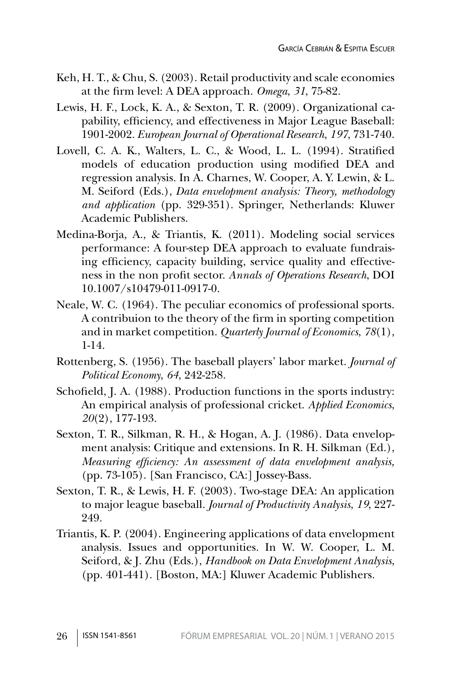- Keh, H. T., & Chu, S. (2003). Retail productivity and scale economies at the firm level: A DEA approach. *Omega*, *31*, 75-82.
- Lewis, H. F., Lock, K. A., & Sexton, T. R. (2009). Organizational capability, efficiency, and effectiveness in Major League Baseball: 1901-2002. *European Journal of Operational Research*, *197*, 731-740.
- Lovell, C. A. K., Walters, L. C., & Wood, L. L. (1994). Stratified models of education production using modified DEA and regression analysis. In A. Charnes, W. Cooper, A. Y. Lewin, & L. M. Seiford (Eds.), *Data envelopment analysis: Theory, methodology and application* (pp. 329-351). Springer, Netherlands: Kluwer Academic Publishers.
- Medina-Borja, A., & Triantis, K. (2011). Modeling social services performance: A four-step DEA approach to evaluate fundraising efficiency, capacity building, service quality and effectiveness in the non profit sector. *Annals of Operations Research*, DOI 10.1007/s10479-011-0917-0.
- Neale, W. C. (1964). The peculiar economics of professional sports. A contribuion to the theory of the firm in sporting competition and in market competition. *Quarterly Journal of Economics*, *78*(1), 1-14.
- Rottenberg, S. (1956). The baseball players' labor market. *Journal of Political Economy*, *64*, 242-258.
- Schofield, J. A. (1988). Production functions in the sports industry: An empirical analysis of professional cricket. *Applied Economics*, *20*(2), 177-193.
- Sexton, T. R., Silkman, R. H., & Hogan, A. J. (1986). Data envelopment analysis: Critique and extensions. In R. H. Silkman (Ed.), *Measuring efficiency: An assessment of data envelopment analysis,*  (pp. 73-105). [San Francisco, CA:] Jossey-Bass.
- Sexton, T. R., & Lewis, H. F. (2003). Two-stage DEA: An application to major league baseball. *Journal of Productivity Analysis*, *19*, 227- 249.
- Triantis, K. P. (2004). Engineering applications of data envelopment analysis. Issues and opportunities. In W. W. Cooper, L. M. Seiford, & J. Zhu (Eds.), *Handbook on Data Envelopment Analysis*, (pp. 401-441). [Boston, MA:] Kluwer Academic Publishers.